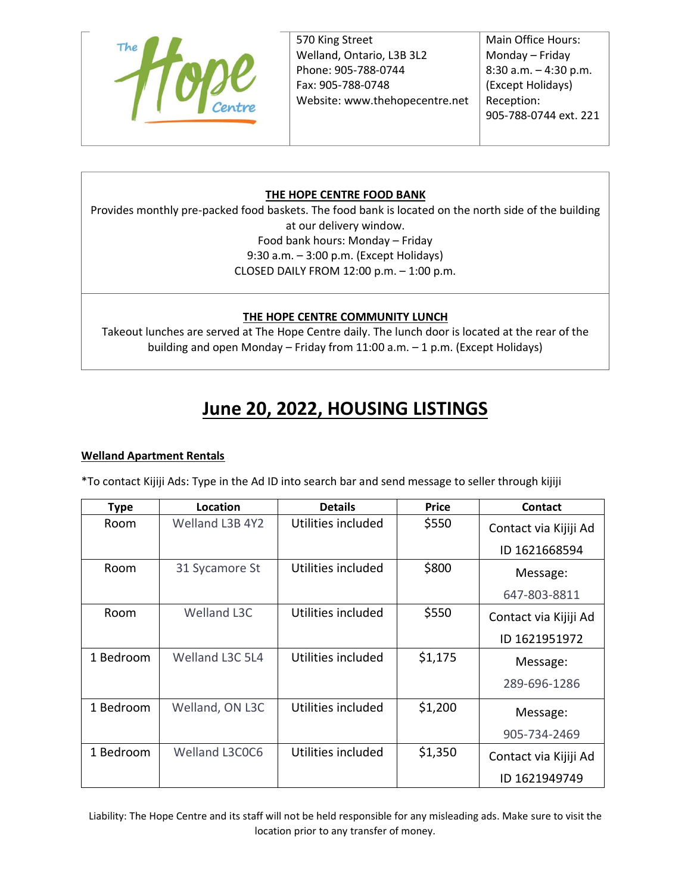

570 King Street Welland, Ontario, L3B 3L2 Phone: 905-788-0744 Fax: 905-788-0748 Website: www.thehopecentre.net

Main Office Hours: Monday – Friday 8:30 a.m. – 4:30 p.m. (Except Holidays) Reception: 905-788-0744 ext. 221

# **THE HOPE CENTRE FOOD BANK**

Provides monthly pre-packed food baskets. The food bank is located on the north side of the building at our delivery window. Food bank hours: Monday – Friday 9:30 a.m. – 3:00 p.m. (Except Holidays) CLOSED DAILY FROM 12:00 p.m. – 1:00 p.m.

# **THE HOPE CENTRE COMMUNITY LUNCH**

Takeout lunches are served at The Hope Centre daily. The lunch door is located at the rear of the building and open Monday – Friday from 11:00 a.m. – 1 p.m. (Except Holidays)

# **June 20, 2022, HOUSING LISTINGS**

#### **Welland Apartment Rentals**

\*To contact Kijiji Ads: Type in the Ad ID into search bar and send message to seller through kijiji

| <b>Type</b> | Location           | <b>Details</b>     | <b>Price</b> | Contact               |
|-------------|--------------------|--------------------|--------------|-----------------------|
| Room        | Welland L3B 4Y2    | Utilities included | \$550        | Contact via Kijiji Ad |
|             |                    |                    |              | ID 1621668594         |
| Room        | 31 Sycamore St     | Utilities included | \$800        | Message:              |
|             |                    |                    |              | 647-803-8811          |
| Room        | <b>Welland L3C</b> | Utilities included | \$550        | Contact via Kijiji Ad |
|             |                    |                    |              | ID 1621951972         |
| 1 Bedroom   | Welland L3C 5L4    | Utilities included | \$1,175      | Message:              |
|             |                    |                    |              | 289-696-1286          |
| 1 Bedroom   | Welland, ON L3C    | Utilities included | \$1,200      | Message:              |
|             |                    |                    |              | 905-734-2469          |
| 1 Bedroom   | Welland L3C0C6     | Utilities included | \$1,350      | Contact via Kijiji Ad |
|             |                    |                    |              | ID 1621949749         |

Liability: The Hope Centre and its staff will not be held responsible for any misleading ads. Make sure to visit the location prior to any transfer of money.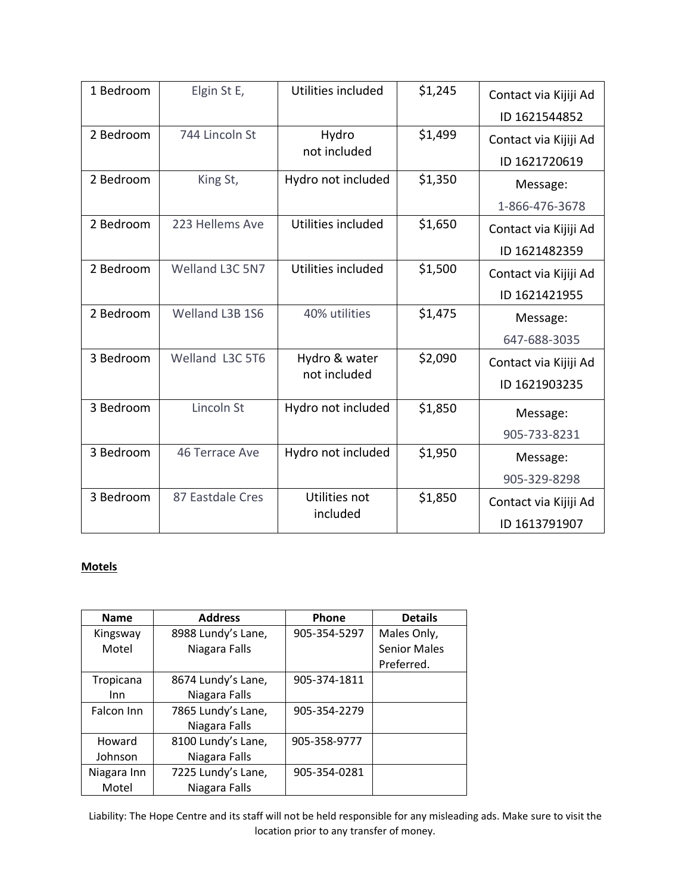| 1 Bedroom | Elgin St E,      | Utilities included            | \$1,245 | Contact via Kijiji Ad |
|-----------|------------------|-------------------------------|---------|-----------------------|
|           |                  |                               |         | ID 1621544852         |
| 2 Bedroom | 744 Lincoln St   | Hydro<br>not included         | \$1,499 | Contact via Kijiji Ad |
|           |                  |                               |         | ID 1621720619         |
| 2 Bedroom | King St,         | Hydro not included            | \$1,350 | Message:              |
|           |                  |                               |         | 1-866-476-3678        |
| 2 Bedroom | 223 Hellems Ave  | Utilities included            | \$1,650 | Contact via Kijiji Ad |
|           |                  |                               |         | ID 1621482359         |
| 2 Bedroom | Welland L3C 5N7  | Utilities included            | \$1,500 | Contact via Kijiji Ad |
|           |                  |                               |         | ID 1621421955         |
| 2 Bedroom | Welland L3B 1S6  | 40% utilities                 | \$1,475 | Message:              |
|           |                  |                               |         | 647-688-3035          |
| 3 Bedroom | Welland L3C 5T6  | Hydro & water<br>not included | \$2,090 | Contact via Kijiji Ad |
|           |                  |                               |         | ID 1621903235         |
| 3 Bedroom | Lincoln St       | Hydro not included            | \$1,850 | Message:              |
|           |                  |                               |         | 905-733-8231          |
| 3 Bedroom | 46 Terrace Ave   | Hydro not included            | \$1,950 | Message:              |
|           |                  |                               |         | 905-329-8298          |
| 3 Bedroom | 87 Eastdale Cres | Utilities not<br>included     | \$1,850 | Contact via Kijiji Ad |
|           |                  |                               |         | ID 1613791907         |

# **Motels**

| <b>Name</b> | <b>Address</b>     | Phone        | <b>Details</b>      |
|-------------|--------------------|--------------|---------------------|
| Kingsway    | 8988 Lundy's Lane, | 905-354-5297 | Males Only,         |
| Motel       | Niagara Falls      |              | <b>Senior Males</b> |
|             |                    |              | Preferred.          |
| Tropicana   | 8674 Lundy's Lane, | 905-374-1811 |                     |
| Inn         | Niagara Falls      |              |                     |
| Falcon Inn  | 7865 Lundy's Lane, | 905-354-2279 |                     |
|             | Niagara Falls      |              |                     |
| Howard      | 8100 Lundy's Lane, | 905-358-9777 |                     |
| Johnson     | Niagara Falls      |              |                     |
| Niagara Inn | 7225 Lundy's Lane, | 905-354-0281 |                     |
| Motel       | Niagara Falls      |              |                     |

Liability: The Hope Centre and its staff will not be held responsible for any misleading ads. Make sure to visit the location prior to any transfer of money.